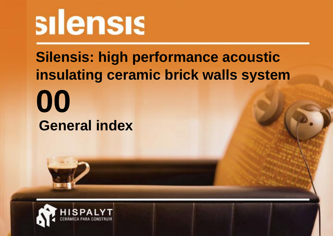# silensis

# **Silensis: high performance acoustic** insulating ceramic brick walls system 00 **General index**

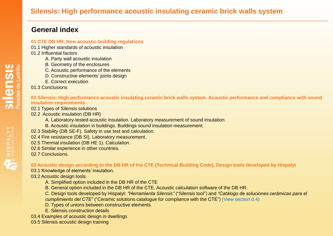# **General index**

#### **01 CTE DB HR: New acoustic building regulations**

- 01.1 Higher standards of acoustic insulation
- 01.2 Influential factors
	- A. Party wall acoustic insulation
	- B. Geometry of the enclosures
	- C. Acoustic performance of the elements
	- D. Constructive elements' joints design
	- E. Correct execution
- 01.3 Conclusions

**02 Silensis: High performance acoustic insulating ceramic brick walls system. Acoustic performance and compliance with sound insulation requirements.**

02.1 Types of Silensis solutions

- 02.2 Acoustic insulation (DB HR)
	- A. Laboratory-tested acoustic insulation. Laboratory measurement of sound insulation.
	- B. Acoustic insulation in buildings. Buildings sound insulation measurement.
- 02.3 Stability (DB SE-F). Safety in use test and calculation.
- 02.4 Fire resistance (DB SI). Laboratory measurement.
- 02.5 Thermal insulation (DB HE 1). Calculation.
- 02.6 Similar experience in other countries.
- 02.7 Conclusions.

**03 Acoustic design according to the DB HR of the CTE (Technical Building Code). Design tools developed by Hispalyt**

03.1 Knowledge of elements' insulation.

03.2 Acoustic design tools

- A. Simplified option included in the DB HR of the CTE
- B. General option included in the DB HR of the CTE. Acoustic calculation software of the DB HR.
- C. Design tools developed by Hispalyt: *"Herramienta Silensis"* ("Silensis tool") and *"Catálogo de soluciones cerámicas para el cumplimiento del CTE"* ("Ceramic solutions catalogue for compliance with the CTE") (View section 0.4)
- D. Types of unions between constructive elements
- E. Silensis construction details
- 03.4 Examples of acoustic design in dwellings
- 03.5 Silensis acoustic design training

HISPALYT